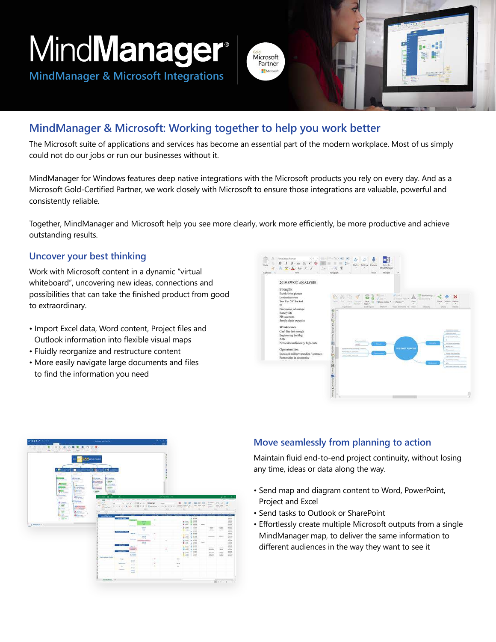MindManager

**MindManager & Microsoft Integrations**

# Microsoft Partner

# **MindManager & Microsoft: Working together to help you work better**

The Microsoft suite of applications and services has become an essential part of the modern workplace. Most of us simply could not do our jobs or run our businesses without it.

MindManager for Windows features deep native integrations with the Microsoft products you rely on every day. And as a Microsoft Gold-Certified Partner, we work closely with Microsoft to ensure those integrations are valuable, powerful and consistently reliable.

Together, MindManager and Microsoft help you see more clearly, work more efficiently, be more productive and achieve outstanding results.

#### **Uncover your best thinking**

Work with Microsoft content in a dynamic "virtual whiteboard", uncovering new ideas, connections and possibilities that can take the finished product from good to extraordinary.

- Import Excel data, Word content, Project files and Outlook information into flexible visual maps
- Fluidly reorganize and restructure content
- More easily navigate large documents and files to find the information you need



| on he made her<br><b>Contract</b><br>0.2, 0.2, 0.0, 0.0, 0.0, 0.0<br>$\alpha$<br>通知<br>$\frac{1}{\sqrt{2}}\sum_{i=1}^n\sum_{j=1}^n\frac{1}{\sqrt{2}}\sum_{j=1}^n\frac{1}{\sqrt{2}}\sum_{j=1}^n\frac{1}{\sqrt{2}}\sum_{j=1}^n\frac{1}{\sqrt{2}}\sum_{j=1}^n\frac{1}{\sqrt{2}}\sum_{j=1}^n\frac{1}{\sqrt{2}}\sum_{j=1}^n\frac{1}{\sqrt{2}}\sum_{j=1}^n\frac{1}{\sqrt{2}}\sum_{j=1}^n\frac{1}{\sqrt{2}}\sum_{j=1}^n\frac{1}{\sqrt{2}}\sum_{j=1}^n\frac$<br><b>COLLEGE</b> | <b>COLLEGE AND SER</b><br>Any Set                                                                                                                                                                                                          |                                                                     |                                                                                                                                                                                                                                                            |                                                                                                                                                    | ٠<br>×                                                                                              |                                                           |                                                                                                                 |                                                                                                                                                                                                                                                                                                             |                                   |                                                                                      |                                               |                                                                                                                                                                                     |
|------------------------------------------------------------------------------------------------------------------------------------------------------------------------------------------------------------------------------------------------------------------------------------------------------------------------------------------------------------------------------------------------------------------------------------------------------------------------|--------------------------------------------------------------------------------------------------------------------------------------------------------------------------------------------------------------------------------------------|---------------------------------------------------------------------|------------------------------------------------------------------------------------------------------------------------------------------------------------------------------------------------------------------------------------------------------------|----------------------------------------------------------------------------------------------------------------------------------------------------|-----------------------------------------------------------------------------------------------------|-----------------------------------------------------------|-----------------------------------------------------------------------------------------------------------------|-------------------------------------------------------------------------------------------------------------------------------------------------------------------------------------------------------------------------------------------------------------------------------------------------------------|-----------------------------------|--------------------------------------------------------------------------------------|-----------------------------------------------|-------------------------------------------------------------------------------------------------------------------------------------------------------------------------------------|
| -<br>. The contrast a momentum r man r of second<br>At man.<br>⇒<br>. .<br><b>Riftsburg</b><br><b>Difference</b><br><b>Calling</b><br>200,000<br><b>The Contract</b><br><b>MET</b><br><b>LEURER</b><br>Wreek.<br>œ<br>Christian.<br>糯<br><b><i><u>O permanent</u></i></b>                                                                                                                                                                                              | LAN announced<br><b>AMMM</b><br>Alanto.<br>÷<br><b><i>EXAMINING</i></b><br>배하<br><b>Silverinin</b><br><b>CHECK</b><br><b>CEUMMI</b><br>C. Anche<br>1.50000<br>$m - 12$ $n - 1$<br>$\sim$<br><b>ZEE</b><br>0.44<br>⋍<br>All Liveriness<br>≂ | 166<br>(10, 0.01)                                                   | CALL AT ALL PLOSE & PH. (1994)40                                                                                                                                                                                                                           | ters one capture children that were the court of her<br><b>KWY G I Houston: E-S. 9. 10 11</b>                                                      | ž<br>٠<br>t<br>$\frac{9}{2}$<br>ä<br>٠<br><b>Johnson Line</b><br>$\sim$                             |                                                           | <b>DUV</b> HER                                                                                                  |                                                                                                                                                                                                                                                                                                             |                                   | EMMIN BY CO.<br><b>BOVE</b><br>$Q = Q$                                               | $-1.5 - 1.5$<br>lank Kale<br>L. Rent Seen ()  | J Rall 1 Lincoln<br>÷<br>÷                                                                                                                                                          |
| <b>TAXABLE IN</b><br><b>E</b><br><b>Automaker</b>                                                                                                                                                                                                                                                                                                                                                                                                                      | min.<br>÷                                                                                                                                                                                                                                  | ×                                                                   |                                                                                                                                                                                                                                                            |                                                                                                                                                    | -                                                                                                   |                                                           | ÷                                                                                                               |                                                                                                                                                                                                                                                                                                             |                                   | ۰                                                                                    |                                               |                                                                                                                                                                                     |
| <b>MAtennik</b><br><b>TATE</b><br>min.<br>-                                                                                                                                                                                                                                                                                                                                                                                                                            | <b>HALLACT</b>                                                                                                                                                                                                                             | <b><i>Block (Investor Insight</i></b> )<br>"Gritar"                 | <b>Service</b><br><b>SALE</b><br><b>Stationer</b><br><b>SANTON</b><br><b>Marine</b>                                                                                                                                                                        | ٠<br>$-2$<br>-<br>÷<br>٠<br><b>Index</b><br>π<br>٠<br><b>Manufacturer's</b><br><b>THE</b><br><b>Service</b><br>٠<br><b>BOTH</b><br><b>Briefing</b> | <u> 1989 - Jan vendere de vedere ser vende i 1980 - e ser vende ser de vende ser de vendes</u><br>٠ |                                                           | $1 - 1$<br>$\sim$<br>出版<br>$\frac{1}{2}$<br><b>IX.</b> Inner<br><b>G. Pont</b><br>If here<br>拦<br><b>BOWLER</b> | $\frac{1}{2}$<br>Midway.<br>×<br>Tariho.<br><b>Series</b><br>٠<br>٠<br><b>Particular</b><br><b>Text</b><br>٠<br>See.<br><b>STATE</b><br>wer.<br><b>Service</b><br><b>SALE</b><br><b>AGE</b><br>man.<br>te es-<br><b>Winds</b><br><b>Fax</b><br>men.<br><b>STATE</b><br>Mark<br><b>Service</b><br><b>MAG</b> | <b>District</b><br><b>Service</b> | <b>Service</b><br><b>COLOR</b><br>----<br><b>Home and</b>                            | <b>Halley</b><br>$rac{1}{2}$<br><b>Winter</b> | $\frac{1}{2}$<br>mine.<br>m<br>$-1$<br>$\frac{1}{2} \left( \frac{1}{2} \right) \left( \frac{1}{2} \right) \left( \frac{1}{2} \right)$<br>$-1$<br>H<br>Ξ<br>급<br>$\approx$<br>ā<br>- |
| U. G. Wellman, L. L.                                                                                                                                                                                                                                                                                                                                                                                                                                                   | Them a hom Durin                                                                                                                                                                                                                           | <b>Sing</b><br><b>Surgium</b><br>$\frac{1}{2}$<br><b>Stationary</b> | <b>Mark and</b><br><b>Times</b><br>MARINE<br><b>Services</b><br><b>Security</b><br>to said.<br>$\frac{1}{2} \left( \frac{1}{2} \right) \left( \frac{1}{2} \right) \left( \frac{1}{2} \right)$<br>24.4<br><b>Senior</b><br><b>Sandale</b><br><b>Service</b> | ۰<br>m<br>٠                                                                                                                                        | t                                                                                                   | <b>Service</b><br><b>ACTA</b><br>$\overline{\phantom{a}}$ | 細田<br>$\frac{1}{2}$ may<br>$\frac{1}{2}$ and $\frac{1}{2}$                                                      | mai.<br>19.66<br><b>MAY</b><br>mind.<br><b>Service</b><br>man.                                                                                                                                                                                                                                              |                                   | <b>Selection</b><br><b>SECTION</b><br><b>Service</b><br><b>Northern</b><br>port from | <b>Holes</b><br>ses.<br><b>VALUE</b><br>茔     | $\overline{a}$<br>$-0.64$<br>mer.<br>곮                                                                                                                                              |

#### **Move seamlessly from planning to action**

Maintain fluid end-to-end project continuity, without losing any time, ideas or data along the way.

- Send map and diagram content to Word, PowerPoint, Project and Excel
- Send tasks to Outlook or SharePoint
- Effortlessly create multiple Microsoft outputs from a single MindManager map, to deliver the same information to different audiences in the way they want to see it